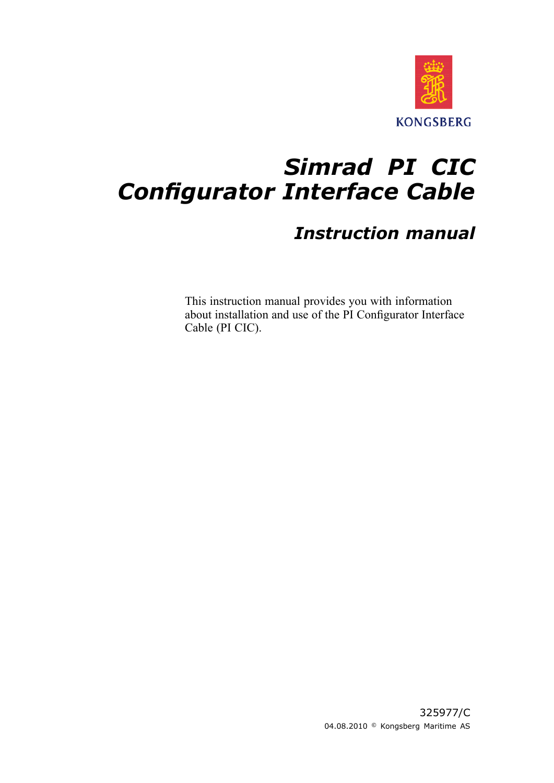

## *Simrad PI CIC Configurator Interface Cable*

### *Instruction manual*

This instruction manual provides you with information about installation and use of the PI Configurator Interface Cable (PI CIC).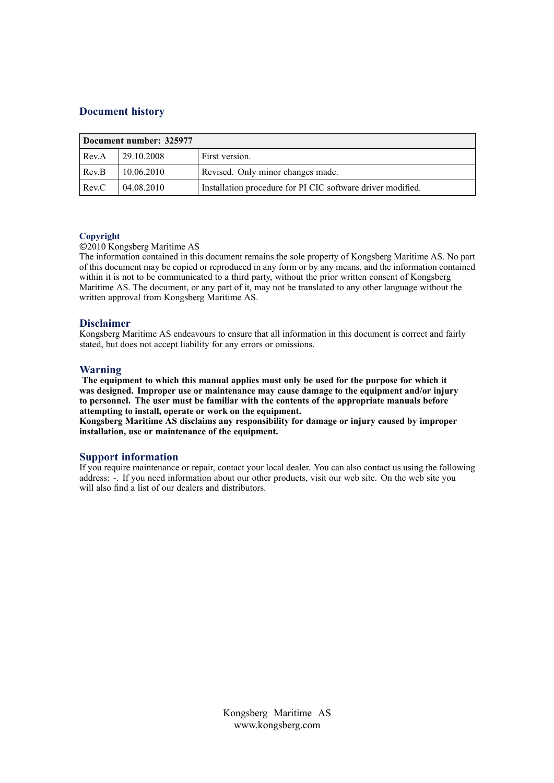### **Document history**

|       | Document number: 325977 |                                                             |
|-------|-------------------------|-------------------------------------------------------------|
| Rev.A | 29.10.2008              | First version.                                              |
| Rev.B | 10.06.2010              | Revised. Only minor changes made.                           |
| Rev.C | 04.08.2010              | Installation procedure for PI CIC software driver modified. |

### **Copyright**

### ©<sup>2010</sup> Kongsberg Maritime AS

The information contained in this document remains the sole property of Kongsberg Maritime AS. No par<sup>t</sup> of this document may be copied or reproduced in any form or by any means, and the information contained within it is not to be communicated to a third party, without the prior written consent of Kongsberg Maritime AS. The document, or any par<sup>t</sup> of it, may not be translated to any other language without the written approva<sup>l</sup> from Kongsberg Maritime AS.

### **Disclaimer**

Kongsberg Maritime AS endeavours to ensure that all information in this document is correct and fairly stated, but does not accep<sup>t</sup> liability for any errors or omissions.

### **Warning**

The equipment to which this manual applies must only be used for the purpose for which it was designed. Improper use or maintenance may cause damage to the equipment and/or injury to personnel. The user must be familiar with the contents of the appropriate manuals before **attempting to install, operate or work on the equipment.**

Kongsberg Maritime AS disclaims any responsibility for damage or injury caused by improper **installation, use or maintenance of the equipment.**

### **Support information**

If you require maintenance or repair, contact your local dealer. You can also contact us using the following address: -. If you need information about our other products, visit our web site. On the web site you will also find <sup>a</sup> list of our dealers and distributors.

> Kongsberg Maritime AS www.kongsberg.com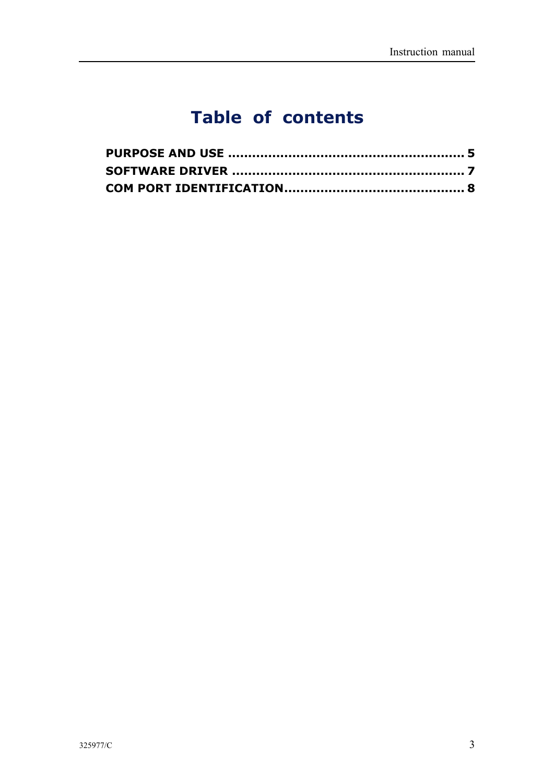## **Table of contents**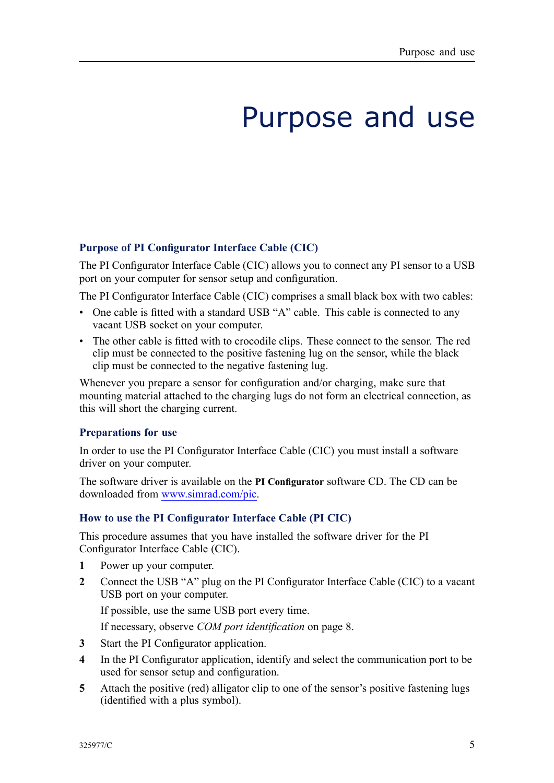# Purpose and use

### <span id="page-4-0"></span>**Purpose of PI Configurator Interface Cable (CIC)**

The PI Configurator Interface Cable (CIC) allows you to connect any PI sensor to <sup>a</sup> USB por<sup>t</sup> on your computer for sensor setup and configuration.

The PI Configurator Interface Cable (CIC) comprises <sup>a</sup> small black box with two cables:

- One cable is fitted with a standard USB "A" cable. This cable is connected to any vacant USB socket on your computer.
- The other cable is fitted with to crocodile clips. These connect to the sensor. The red clip must be connected to the positive fastening lug on the sensor, while the black clip must be connected to the negative fastening lug.

Whenever you prepare a sensor for configuration and/or charging, make sure that mounting material attached to the charging lugs do not form an electrical connection, as this will short the charging current.

### **Preparations for use**

In order to use the PI Configurator Interface Cable (CIC) you must install <sup>a</sup> software driver on your computer.

The software driver is available on the **PI Configurator** software CD. The CD can be downloaded from [www.simrad.com/pic](http://www.simrad.com/pic).

### **How to use the PI Configurator Interface Cable (PI CIC)**

This procedure assumes that you have installed the software driver for the PI Configurator Interface Cable (CIC).<br>1 Power un vour computer

- **1** Power up your computer.<br>**2** Connect the USB "A" plu
- **<sup>2</sup>** Connect the USB "A" <sup>p</sup>lug on the PI Configurator Interface Cable (CIC) to <sup>a</sup> vacant USB por<sup>t</sup> on your computer.

If possible, use the same USB por<sup>t</sup> every time.

If necessary, observe *COM por<sup>t</sup> [identification](#page-7-0)* on page [8](#page-7-0).

- **3** Start the PI Configurator application.<br>**4** In the PI Configurator application ide
- **<sup>4</sup>** In the PI Configurator application, identify and select the communication por<sup>t</sup> to be used for sensor setup and configuration.
- **<sup>5</sup>** Attach the positive (red) alligator clip to one of the sensor's positive fastening lugs (identified with <sup>a</sup> <sup>p</sup>lus symbol).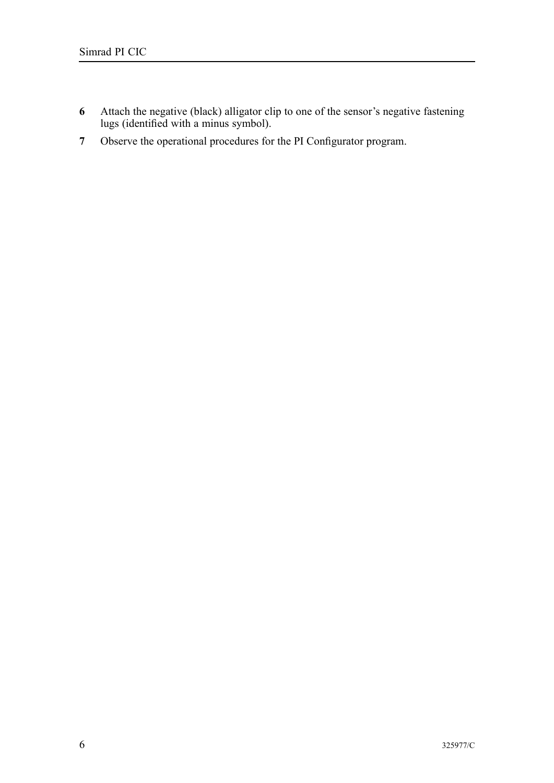- **6** Attach the negative (black) alligator clip to one of the sensor's negative fastening<br>lives (identified with a minus symbol) lugs (identified with <sup>a</sup> minus symbol).
- **<sup>7</sup>** Observe the operational procedures for the PI Configurator program.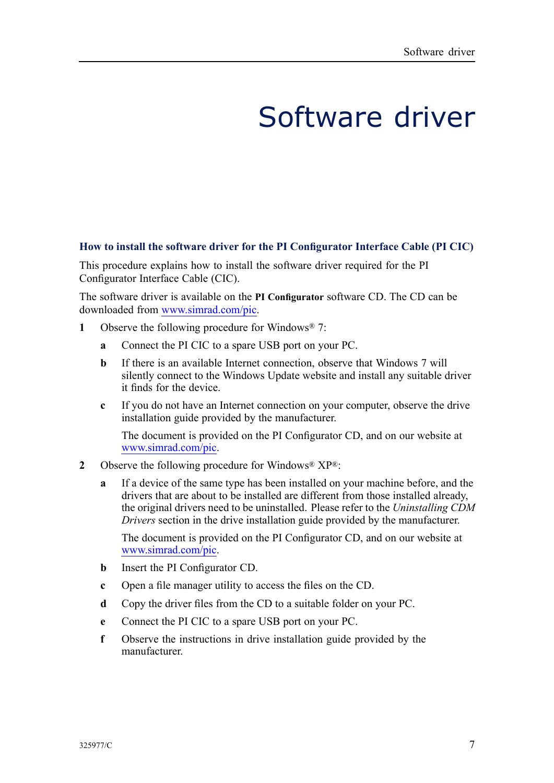# Software driver

### <span id="page-6-0"></span>How to install the software driver for the PI Configurator Interface Cable (PI CIC)

This procedure explains how to install the software driver required for the PI Configurator Interface Cable (CIC).

The software driver is available on the **PI Configurator** software CD. The CD can be downloaded from [www.simrad.com/pic](http://www.simrad.com/pic).

- **<sup>1</sup>** Observe the following procedure for Windows® 7:
	- **<sup>a</sup>** Connect the PI CIC to <sup>a</sup> spare USB por<sup>t</sup> on your PC.
	- **b** If there is an available Internet connection, observe that Windows 7 will silently connect to the Windows Update website and install any suitable driver it finds for the device.
	- **<sup>c</sup>** If you do not have an Internet connection on your computer, observe the drive installation guide provided by the manufacturer.

The document is provided on the PI Configurator CD, and on our website at [www.simrad.com/pic](http://www.simrad.com/pic).

- **<sup>2</sup>** Observe the following procedure for Windows® XP®:
	- **<sup>a</sup>** If <sup>a</sup> device of the same type has been installed on your machine before, and the drivers that are about to be installed are different from those installed already, the original drivers need to be uninstalled. Please refer to the *Uninstalling CDM Drivers* section in the drive installation guide provided by the manufacturer.

The document is provided on the PI Configurator CD, and on our website at [www.simrad.com/pic](http://www.simrad.com/pic).

- **<sup>b</sup>** Insert the PI Configurator CD.
- **<sup>c</sup>** Open <sup>a</sup> file manager utility to access the files on the CD.
- **<sup>d</sup>** Copy the driver files from the CD to <sup>a</sup> suitable folder on your PC.
- **<sup>e</sup>** Connect the PI CIC to <sup>a</sup> spare USB por<sup>t</sup> on your PC.
- **<sup>f</sup>** Observe the instructions in drive installation guide provided by the manufacturer.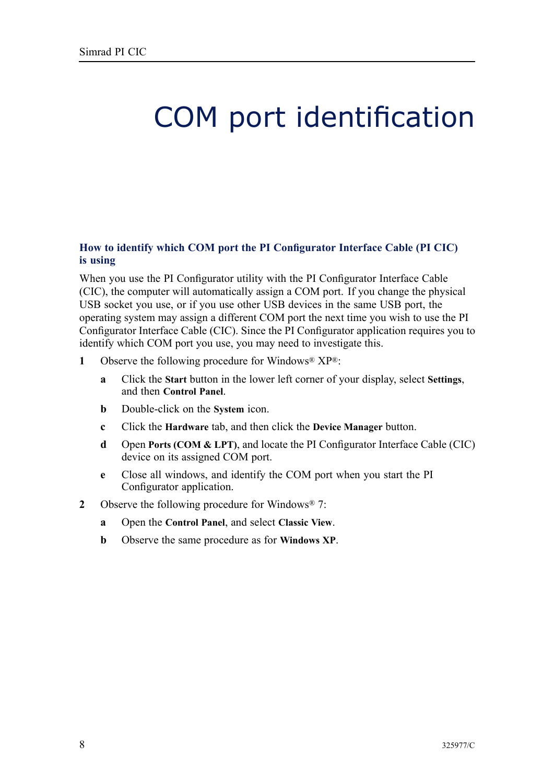# <span id="page-7-0"></span>COM port identification

### How to identify which COM port the PI Configurator Interface Cable (PI CIC) **is using**

When you use the PI Configurator utility with the PI Configurator Interface Cable (CIC), the computer will automatically assign <sup>a</sup> COM port. If you change the <sup>p</sup>hysical USB socket you use, or if you use other USB devices in the same USB port, the operating system may assign <sup>a</sup> different COM por<sup>t</sup> the next time you wish to use the PI Configurator Interface Cable (CIC). Since the PI Configurator application requires you to identify which COM port you use, you may need to investigate this.<br>1 Observe the following procedure for Windows®  $\mathbf{X}P^{\circledast}$ .

- Observe the following procedure for Windows<sup>®</sup>  $XP^{\otimes}$ :
	- **<sup>a</sup>** Click the **Start** button in the lower left corner of your display, select **Settings**, and then **Control Panel**.
	- **<sup>b</sup>** Double-click on the **System** icon.
	- **<sup>c</sup>** Click the **Hardware** tab, and then click the **Device Manager** button.
	- **<sup>d</sup>** Open **Ports (COM & LPT)**, and locate the PI Configurator Interface Cable (CIC) device on its assigned COM port.
	- **<sup>e</sup>** Close all windows, and identify the COM por<sup>t</sup> when you start the PI Configurator application.
- **<sup>2</sup>** Observe the following procedure for Windows® 7:
	- **<sup>a</sup>** Open the **Control Panel**, and select **Classic View**.
	- **<sup>b</sup>** Observe the same procedure as for **Windows XP**.